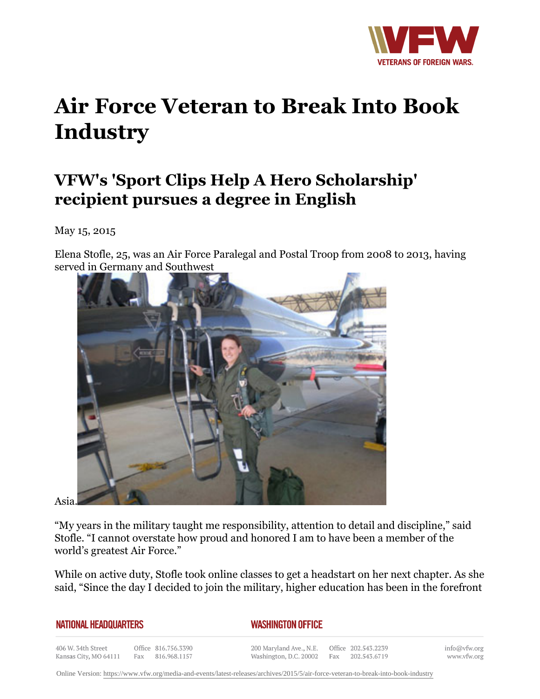

## **Air Force Veteran to Break Into Book Industry**

## **VFW's 'Sport Clips Help A Hero Scholarship' recipient pursues a degree in English**

May 15, 2015

Elena Stofle, 25, was an Air Force Paralegal and Postal Troop from 2008 to 2013, having served in Germany and Southwest



Asia.

"My years in the military taught me responsibility, attention to detail and discipline," said Stofle. "I cannot overstate how proud and honored I am to have been a member of the world's greatest Air Force."

While on active duty, Stofle took online classes to get a headstart on her next chapter. As she said, "Since the day I decided to join the military, higher education has been in the forefront

| <b>NATIONAL HEADQUARTERS</b> |  |
|------------------------------|--|
|------------------------------|--|

## *WASHINGTON OFFICE*

406 W. 34th Street Office 816.756.3390 Kansas City, MO 64111 Fax 816.968.1157

200 Maryland Ave., N.E. Washington, D.C. 20002

Office 202.543.2239 Fax 202.543.6719

info@vfw.org www.vfw.org

Online Version:<https://www.vfw.org/media-and-events/latest-releases/archives/2015/5/air-force-veteran-to-break-into-book-industry>